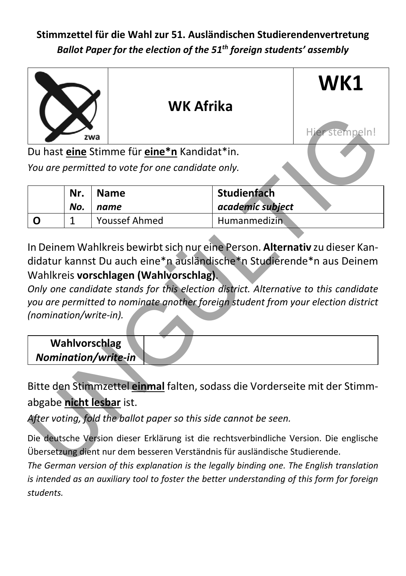

| Nr. | <b>Name</b>   | Studienfach      |
|-----|---------------|------------------|
| No. | name          | academic subject |
|     | Youssef Ahmed |                  |

In Deinem Wahlkreis bewirbt sich nur eine Person. **Alternativ** zu dieser Kandidatur kannst Du auch eine\*n ausländische\*n Studierende\*n aus Deinem Wahlkreis **vorschlagen (Wahlvorschlag)**.

*Only one candidate stands for this election district. Alternative to this candidate you are permitted to nominate another foreign student from your election district (nomination/write-in).*

| <b>Wahlvorschlag</b><br><b>Nomination/write-in</b> |  |
|----------------------------------------------------|--|
|                                                    |  |
|                                                    |  |

Bitte den Stimmzettel **einmal** falten, sodass die Vorderseite mit der Stimmabgabe **nicht lesbar** ist.

*After voting, fold the ballot paper so this side cannot be seen.*

Die deutsche Version dieser Erklärung ist die rechtsverbindliche Version. Die englische Übersetzung dient nur dem besseren Verständnis für ausländische Studierende.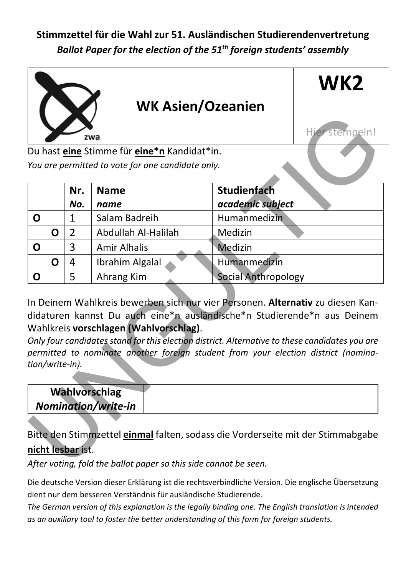

|                                                                                                                                                                                                                                                                                                                                                                                                                                                        |                                             | zwa                                               |                     | Hier stempeln! |  |  |
|--------------------------------------------------------------------------------------------------------------------------------------------------------------------------------------------------------------------------------------------------------------------------------------------------------------------------------------------------------------------------------------------------------------------------------------------------------|---------------------------------------------|---------------------------------------------------|---------------------|----------------|--|--|
|                                                                                                                                                                                                                                                                                                                                                                                                                                                        | Du hast eine Stimme für eine*n Kandidat*in. |                                                   |                     |                |  |  |
|                                                                                                                                                                                                                                                                                                                                                                                                                                                        |                                             | You are permitted to vote for one candidate only. |                     |                |  |  |
|                                                                                                                                                                                                                                                                                                                                                                                                                                                        | Nr.                                         | <b>Name</b>                                       | <b>Studienfach</b>  |                |  |  |
|                                                                                                                                                                                                                                                                                                                                                                                                                                                        | No.                                         | name                                              | academic subject    |                |  |  |
| O                                                                                                                                                                                                                                                                                                                                                                                                                                                      | $\mathbf{1}$                                | Salam Badreih                                     | Humanmedizin        |                |  |  |
| Ο                                                                                                                                                                                                                                                                                                                                                                                                                                                      | 2                                           | Abdullah Al-Halilah                               | Medizin             |                |  |  |
| 0                                                                                                                                                                                                                                                                                                                                                                                                                                                      | 3                                           | <b>Amir Alhalis</b>                               | Medizin             |                |  |  |
| Ο                                                                                                                                                                                                                                                                                                                                                                                                                                                      | 4                                           | Ibrahim Algalal                                   | Humanmedizin        |                |  |  |
| O                                                                                                                                                                                                                                                                                                                                                                                                                                                      | 5                                           | Ahrang Kim                                        | Social Anthropology |                |  |  |
| In Deinem Wahlkreis bewerben sich nur vier Personen. Alternativ zu diesen Kan-<br>didaturen kannst Du auch eine*n ausländische*n Studierende*n aus Deinem<br>Wahlkreis vorschlagen (Wahlvorschlag).<br>Only four candidates stand for this election district. Alternative to these candidates you are<br>permitted to nominate another foreign student from your election district (nomina-<br>tion/write-in).<br>Wahlvorschlag<br>Nomination/write-in |                                             |                                                   |                     |                |  |  |
| Bitte den Stimmzettel einmal falten, sodass die Vorderseite mit der Stimmabgabe<br>nicht lesbar ist.<br>After voting, fold the ballot paper so this side cannot be seen.                                                                                                                                                                                                                                                                               |                                             |                                                   |                     |                |  |  |

| Wahlvorschlag       |  |
|---------------------|--|
| Nomination/write-in |  |
|                     |  |

#### Bitte den Stimmzettel **einmal** falten, sodass die Vorderseite mit der Stimmabgabe **nicht lesbar** ist.

*After voting, fold the ballot paper so this side cannot be seen.*

Die deutsche Version dieser Erklärung ist die rechtsverbindliche Version. Die englische Übersetzung dient nur dem besseren Verständnis für ausländische Studierende.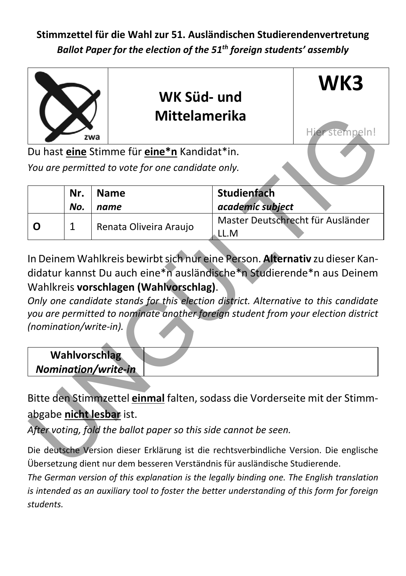

|                          |                     |     | Mittelamerika                                                                                                                                                                                                                                                                               |                    |                                   |
|--------------------------|---------------------|-----|---------------------------------------------------------------------------------------------------------------------------------------------------------------------------------------------------------------------------------------------------------------------------------------------|--------------------|-----------------------------------|
|                          |                     | zwa |                                                                                                                                                                                                                                                                                             |                    | Hier stempeln!                    |
|                          |                     |     | Du hast <i>eine</i> Stimme für <i>eine*n</i> Kandidat*in.                                                                                                                                                                                                                                   |                    |                                   |
|                          |                     |     | You are permitted to vote for one candidate only.                                                                                                                                                                                                                                           |                    |                                   |
|                          | Nr.                 |     | <b>Name</b>                                                                                                                                                                                                                                                                                 | <b>Studienfach</b> |                                   |
|                          | No.                 |     | name                                                                                                                                                                                                                                                                                        | academic subject   |                                   |
| O                        | 1                   |     | Renata Oliveira Araujo                                                                                                                                                                                                                                                                      | LL.M               | Master Deutschrecht für Ausländer |
| (nomination/write-in).   | Wahlvorschlag       |     | didatur kannst Du auch eine*n ausländische*n Studierende*n aus Deinem<br>Wahlkreis vorschlagen (Wahlvorschlag).<br>Only one candidate stands for this election district. Alternative to this candidate<br>you are permitted to nominate another foreign student from your election district |                    |                                   |
|                          | Nomination/write-in |     |                                                                                                                                                                                                                                                                                             |                    |                                   |
| abgabe nicht lesbar ist. |                     |     | Bitte den Stimmzettel einmal falten, sodass die Vorderseite mit der Stimm-<br>After voting, fold the ballot paper so this side cannot be seen.                                                                                                                                              |                    |                                   |
|                          |                     |     | Die deutsche Version dieser Erklärung ist die rechtsverbindliche Version. Die englische<br>Übersetzung dient nur dem besseren Verständnis für ausländische Studierende.                                                                                                                     |                    |                                   |

| <b>Wahlvorschlag</b> |  |
|----------------------|--|
| Nomination/write-in  |  |
|                      |  |

Die deutsche Version dieser Erklärung ist die rechtsverbindliche Version. Die englische Übersetzung dient nur dem besseren Verständnis für ausländische Studierende.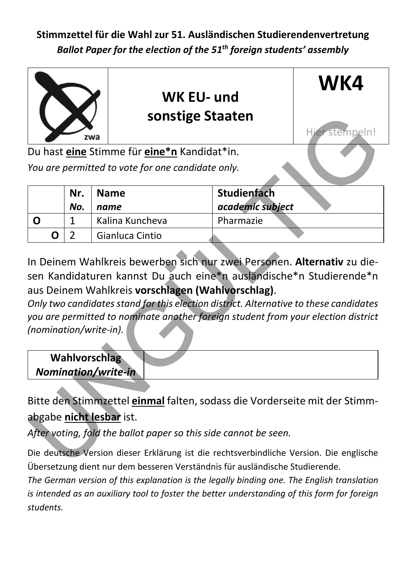

|                                                                                                                                                                                                                                                                            |     | zwa | sonstige Staaten                                                                                                                                                       |                    | Hier stempeln! |  |
|----------------------------------------------------------------------------------------------------------------------------------------------------------------------------------------------------------------------------------------------------------------------------|-----|-----|------------------------------------------------------------------------------------------------------------------------------------------------------------------------|--------------------|----------------|--|
|                                                                                                                                                                                                                                                                            |     |     | Du hast <i>eine</i> Stimme für <i>eine*n</i> Kandidat*in.                                                                                                              |                    |                |  |
|                                                                                                                                                                                                                                                                            |     |     | You are permitted to vote for one candidate only.                                                                                                                      |                    |                |  |
|                                                                                                                                                                                                                                                                            | Nr. |     | <b>Name</b>                                                                                                                                                            | <b>Studienfach</b> |                |  |
|                                                                                                                                                                                                                                                                            | No. |     | name                                                                                                                                                                   | academic subject   |                |  |
| O                                                                                                                                                                                                                                                                          | 1   |     | Kalina Kuncheva                                                                                                                                                        | Pharmazie          |                |  |
| Ο                                                                                                                                                                                                                                                                          | 2   |     | Gianluca Cintio                                                                                                                                                        |                    |                |  |
| aus Deinem Wahlkreis vorschlagen (Wahlvorschlag).<br>Only two candidates stand for this election district. Alternative to these candidates<br>you are permitted to nominate another foreign student from your election district<br>(nomination/write-in).<br>Wahlvorschlag |     |     |                                                                                                                                                                        |                    |                |  |
|                                                                                                                                                                                                                                                                            |     |     |                                                                                                                                                                        |                    |                |  |
| Nomination/write-in<br>abgabe nicht lesbar ist.                                                                                                                                                                                                                            |     |     | Bitte den Stimmzettel einmal falten, sodass die Vorderseite mit der Stimm-<br>After voting, fold the ballot paper so this side cannot be seen.                         |                    |                |  |
|                                                                                                                                                                                                                                                                            |     |     | Die deutsche Version dieser Erklärung ist die rechtsverbindliche Version. Die englische<br>Ühorsetzung dient nur dem hesseren Verständnis für ausländische Ctudierende |                    |                |  |

| Wahlvorschlag<br>Nomination/write-in |  |
|--------------------------------------|--|
|                                      |  |

Die deutsche Version dieser Erklärung ist die rechtsverbindliche Version. Die englische Übersetzung dient nur dem besseren Verständnis für ausländische Studierende.